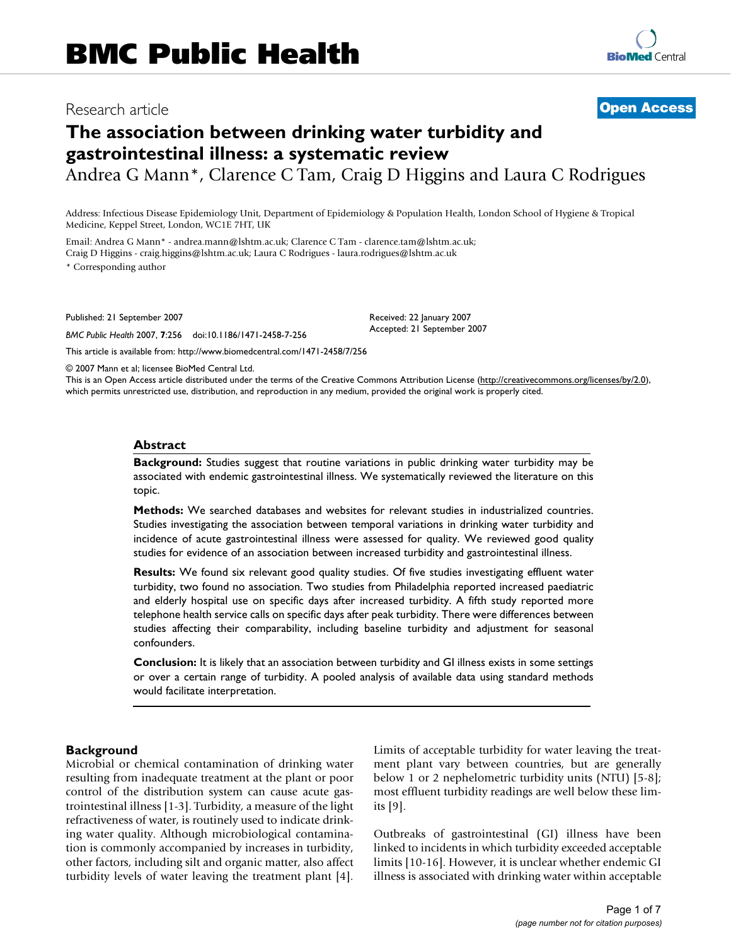# Research article **[Open Access](http://www.biomedcentral.com/info/about/charter/)**

# **The association between drinking water turbidity and gastrointestinal illness: a systematic review**

Andrea G Mann\*, Clarence C Tam, Craig D Higgins and Laura C Rodrigues

Address: Infectious Disease Epidemiology Unit, Department of Epidemiology & Population Health, London School of Hygiene & Tropical Medicine, Keppel Street, London, WC1E 7HT, UK

Email: Andrea G Mann\* - andrea.mann@lshtm.ac.uk; Clarence C Tam - clarence.tam@lshtm.ac.uk; Craig D Higgins - craig.higgins@lshtm.ac.uk; Laura C Rodrigues - laura.rodrigues@lshtm.ac.uk

\* Corresponding author

Published: 21 September 2007

*BMC Public Health* 2007, **7**:256 doi:10.1186/1471-2458-7-256

[This article is available from: http://www.biomedcentral.com/1471-2458/7/256](http://www.biomedcentral.com/1471-2458/7/256)

Received: 22 January 2007 Accepted: 21 September 2007

© 2007 Mann et al; licensee BioMed Central Ltd.

This is an Open Access article distributed under the terms of the Creative Commons Attribution License [\(http://creativecommons.org/licenses/by/2.0\)](http://creativecommons.org/licenses/by/2.0), which permits unrestricted use, distribution, and reproduction in any medium, provided the original work is properly cited.

#### **Abstract**

**Background:** Studies suggest that routine variations in public drinking water turbidity may be associated with endemic gastrointestinal illness. We systematically reviewed the literature on this topic.

**Methods:** We searched databases and websites for relevant studies in industrialized countries. Studies investigating the association between temporal variations in drinking water turbidity and incidence of acute gastrointestinal illness were assessed for quality. We reviewed good quality studies for evidence of an association between increased turbidity and gastrointestinal illness.

**Results:** We found six relevant good quality studies. Of five studies investigating effluent water turbidity, two found no association. Two studies from Philadelphia reported increased paediatric and elderly hospital use on specific days after increased turbidity. A fifth study reported more telephone health service calls on specific days after peak turbidity. There were differences between studies affecting their comparability, including baseline turbidity and adjustment for seasonal confounders.

**Conclusion:** It is likely that an association between turbidity and GI illness exists in some settings or over a certain range of turbidity. A pooled analysis of available data using standard methods would facilitate interpretation.

#### **Background**

Microbial or chemical contamination of drinking water resulting from inadequate treatment at the plant or poor control of the distribution system can cause acute gastrointestinal illness [1-3]. Turbidity, a measure of the light refractiveness of water, is routinely used to indicate drinking water quality. Although microbiological contamination is commonly accompanied by increases in turbidity, other factors, including silt and organic matter, also affect turbidity levels of water leaving the treatment plant [4]. Limits of acceptable turbidity for water leaving the treatment plant vary between countries, but are generally below 1 or 2 nephelometric turbidity units (NTU) [5-8]; most effluent turbidity readings are well below these limits [9].

Outbreaks of gastrointestinal (GI) illness have been linked to incidents in which turbidity exceeded acceptable limits [10-16]. However, it is unclear whether endemic GI illness is associated with drinking water within acceptable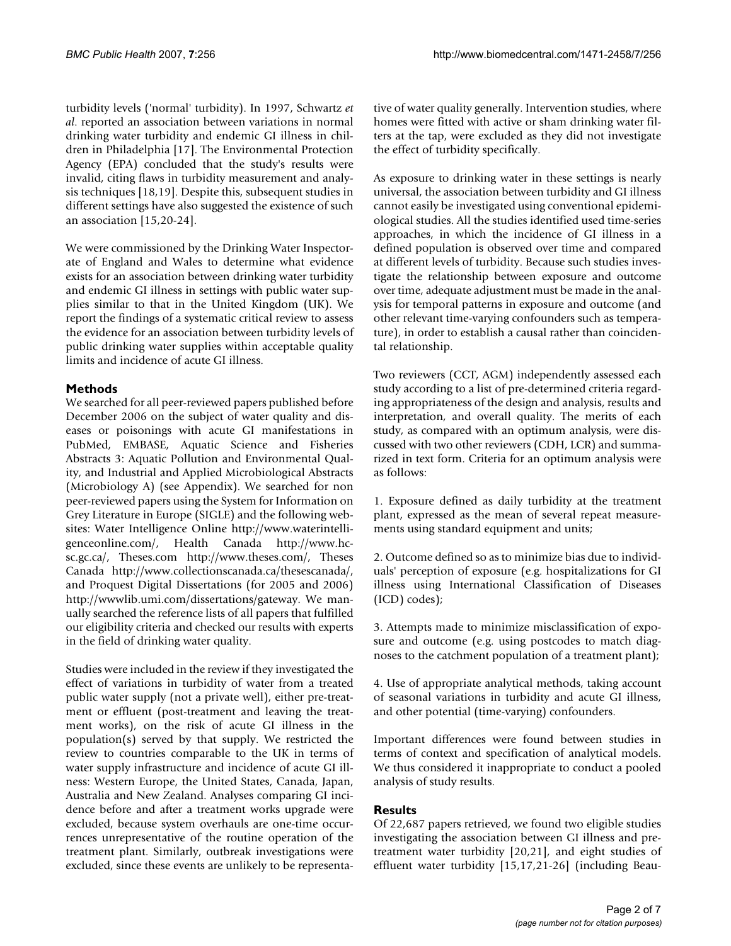turbidity levels ('normal' turbidity). In 1997, Schwartz *et al*. reported an association between variations in normal drinking water turbidity and endemic GI illness in children in Philadelphia [17]. The Environmental Protection Agency (EPA) concluded that the study's results were invalid, citing flaws in turbidity measurement and analysis techniques [18,19]. Despite this, subsequent studies in different settings have also suggested the existence of such an association [15,20-24].

We were commissioned by the Drinking Water Inspectorate of England and Wales to determine what evidence exists for an association between drinking water turbidity and endemic GI illness in settings with public water supplies similar to that in the United Kingdom (UK). We report the findings of a systematic critical review to assess the evidence for an association between turbidity levels of public drinking water supplies within acceptable quality limits and incidence of acute GI illness.

# **Methods**

We searched for all peer-reviewed papers published before December 2006 on the subject of water quality and diseases or poisonings with acute GI manifestations in PubMed, EMBASE, Aquatic Science and Fisheries Abstracts 3: Aquatic Pollution and Environmental Quality, and Industrial and Applied Microbiological Abstracts (Microbiology A) (see Appendix). We searched for non peer-reviewed papers using the System for Information on Grey Literature in Europe (SIGLE) and the following websites: Water Intelligence Online http://www.waterintelligenceonline.com/, Health Canada http://www.hcsc.gc.ca/, Theses.com http://www.theses.com/, Theses Canada http://www.collectionscanada.ca/thesescanada/, and Proquest Digital Dissertations (for 2005 and 2006) http://wwwlib.umi.com/dissertations/gateway. We manually searched the reference lists of all papers that fulfilled our eligibility criteria and checked our results with experts in the field of drinking water quality.

Studies were included in the review if they investigated the effect of variations in turbidity of water from a treated public water supply (not a private well), either pre-treatment or effluent (post-treatment and leaving the treatment works), on the risk of acute GI illness in the population(s) served by that supply. We restricted the review to countries comparable to the UK in terms of water supply infrastructure and incidence of acute GI illness: Western Europe, the United States, Canada, Japan, Australia and New Zealand. Analyses comparing GI incidence before and after a treatment works upgrade were excluded, because system overhauls are one-time occurrences unrepresentative of the routine operation of the treatment plant. Similarly, outbreak investigations were excluded, since these events are unlikely to be representative of water quality generally. Intervention studies, where homes were fitted with active or sham drinking water filters at the tap, were excluded as they did not investigate the effect of turbidity specifically.

As exposure to drinking water in these settings is nearly universal, the association between turbidity and GI illness cannot easily be investigated using conventional epidemiological studies. All the studies identified used time-series approaches, in which the incidence of GI illness in a defined population is observed over time and compared at different levels of turbidity. Because such studies investigate the relationship between exposure and outcome over time, adequate adjustment must be made in the analysis for temporal patterns in exposure and outcome (and other relevant time-varying confounders such as temperature), in order to establish a causal rather than coincidental relationship.

Two reviewers (CCT, AGM) independently assessed each study according to a list of pre-determined criteria regarding appropriateness of the design and analysis, results and interpretation, and overall quality. The merits of each study, as compared with an optimum analysis, were discussed with two other reviewers (CDH, LCR) and summarized in text form. Criteria for an optimum analysis were as follows:

1. Exposure defined as daily turbidity at the treatment plant, expressed as the mean of several repeat measurements using standard equipment and units;

2. Outcome defined so as to minimize bias due to individuals' perception of exposure (e.g. hospitalizations for GI illness using International Classification of Diseases (ICD) codes);

3. Attempts made to minimize misclassification of exposure and outcome (e.g. using postcodes to match diagnoses to the catchment population of a treatment plant);

4. Use of appropriate analytical methods, taking account of seasonal variations in turbidity and acute GI illness, and other potential (time-varying) confounders.

Important differences were found between studies in terms of context and specification of analytical models. We thus considered it inappropriate to conduct a pooled analysis of study results.

# **Results**

Of 22,687 papers retrieved, we found two eligible studies investigating the association between GI illness and pretreatment water turbidity [20,21], and eight studies of effluent water turbidity [15,17,21-26] (including Beau-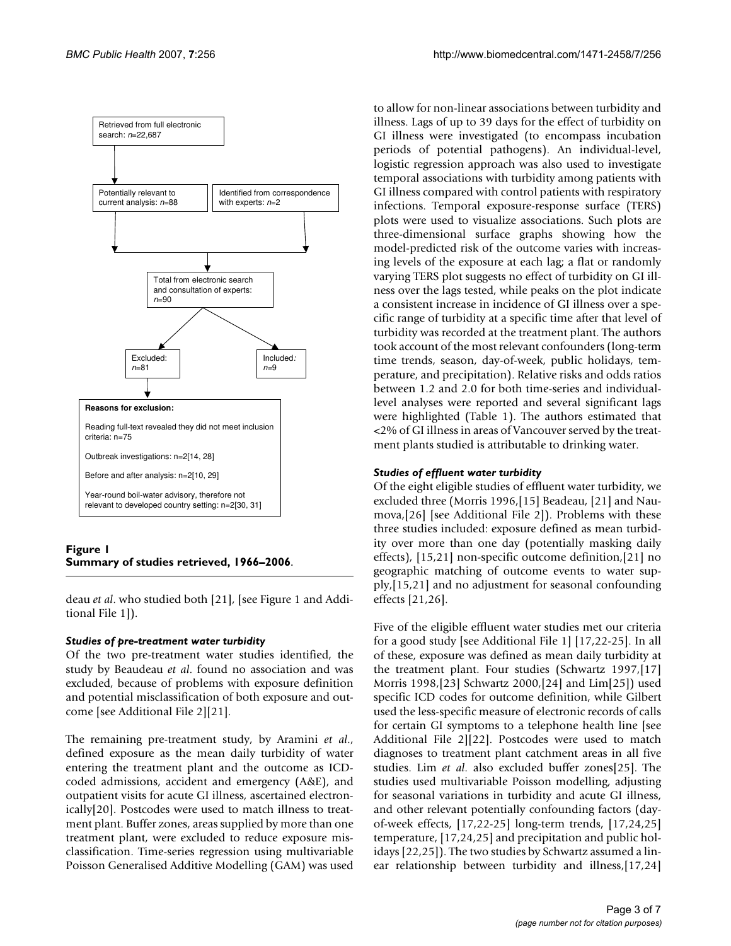

# **Figure 1 Summary of studies retrieved, 1966–2006**.

deau *et al*. who studied both [21], [see Figure 1 and Additional File 1]).

#### *Studies of pre-treatment water turbidity*

Of the two pre-treatment water studies identified, the study by Beaudeau *et al*. found no association and was excluded, because of problems with exposure definition and potential misclassification of both exposure and outcome [see Additional File 2][21].

The remaining pre-treatment study, by Aramini *et al*., defined exposure as the mean daily turbidity of water entering the treatment plant and the outcome as ICDcoded admissions, accident and emergency (A&E), and outpatient visits for acute GI illness, ascertained electronically[20]. Postcodes were used to match illness to treatment plant. Buffer zones, areas supplied by more than one treatment plant, were excluded to reduce exposure misclassification. Time-series regression using multivariable Poisson Generalised Additive Modelling (GAM) was used

to allow for non-linear associations between turbidity and illness. Lags of up to 39 days for the effect of turbidity on GI illness were investigated (to encompass incubation periods of potential pathogens). An individual-level, logistic regression approach was also used to investigate temporal associations with turbidity among patients with GI illness compared with control patients with respiratory infections. Temporal exposure-response surface (TERS) plots were used to visualize associations. Such plots are three-dimensional surface graphs showing how the model-predicted risk of the outcome varies with increasing levels of the exposure at each lag; a flat or randomly varying TERS plot suggests no effect of turbidity on GI illness over the lags tested, while peaks on the plot indicate a consistent increase in incidence of GI illness over a specific range of turbidity at a specific time after that level of turbidity was recorded at the treatment plant. The authors took account of the most relevant confounders (long-term time trends, season, day-of-week, public holidays, temperature, and precipitation). Relative risks and odds ratios between 1.2 and 2.0 for both time-series and individuallevel analyses were reported and several significant lags were highlighted (Table 1). The authors estimated that <2% of GI illness in areas of Vancouver served by the treatment plants studied is attributable to drinking water.

# *Studies of effluent water turbidity*

Of the eight eligible studies of effluent water turbidity, we excluded three (Morris 1996,[15] Beadeau, [21] and Naumova,[26] [see Additional File 2]). Problems with these three studies included: exposure defined as mean turbidity over more than one day (potentially masking daily effects), [15,21] non-specific outcome definition,[21] no geographic matching of outcome events to water supply,[15,21] and no adjustment for seasonal confounding effects [21,26].

Five of the eligible effluent water studies met our criteria for a good study [see Additional File 1] [17,22-25]. In all of these, exposure was defined as mean daily turbidity at the treatment plant. Four studies (Schwartz 1997,[17] Morris 1998,[23] Schwartz 2000,[24] and Lim[25]) used specific ICD codes for outcome definition, while Gilbert used the less-specific measure of electronic records of calls for certain GI symptoms to a telephone health line [see Additional File 2][22]. Postcodes were used to match diagnoses to treatment plant catchment areas in all five studies. Lim *et al*. also excluded buffer zones[25]. The studies used multivariable Poisson modelling, adjusting for seasonal variations in turbidity and acute GI illness, and other relevant potentially confounding factors (dayof-week effects, [17,22-25] long-term trends, [17,24,25] temperature, [17,24,25] and precipitation and public holidays [22,25]). The two studies by Schwartz assumed a linear relationship between turbidity and illness,[17,24]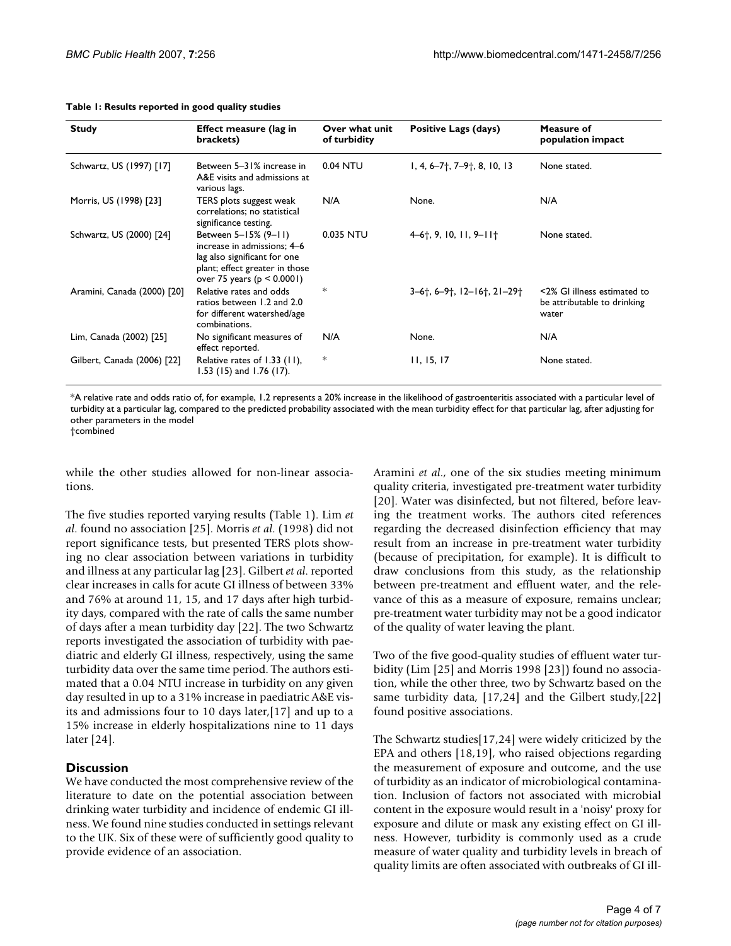| <b>Study</b>                | <b>Effect measure (lag in</b><br>brackets)                                                                                                              | Over what unit<br>of turbidity | Positive Lags (days)                  | Measure of<br>population impact                                     |
|-----------------------------|---------------------------------------------------------------------------------------------------------------------------------------------------------|--------------------------------|---------------------------------------|---------------------------------------------------------------------|
| Schwartz, US (1997) [17]    | Between 5-31% increase in<br>A&E visits and admissions at<br>various lags.                                                                              | 0.04 NTU                       | $1, 4, 6-7$ ; 7-9; 8, 10, 13          | None stated.                                                        |
| Morris, US (1998) [23]      | TERS plots suggest weak<br>correlations; no statistical<br>significance testing.                                                                        | N/A                            | None.                                 | N/A                                                                 |
| Schwartz, US (2000) [24]    | Between 5-15% (9-11)<br>increase in admissions: 4–6<br>lag also significant for one<br>plant; effect greater in those<br>over 75 years ( $p < 0.0001$ ) | 0.035 NTU                      | $4-6$ <sup>†</sup> , 9, 10, 11, 9–11† | None stated.                                                        |
| Aramini, Canada (2000) [20] | Relative rates and odds<br>ratios between 1.2 and 2.0<br>for different watershed/age<br>combinations.                                                   | *                              | $3-6$ †, 6-9†, 12-16†, 21-29†         | <2% GI illness estimated to<br>be attributable to drinking<br>water |
| Lim, Canada (2002) [25]     | No significant measures of<br>effect reported.                                                                                                          | N/A                            | None.                                 | N/A                                                                 |
| Gilbert, Canada (2006) [22] | Relative rates of 1.33 (11),<br>1.53 (15) and 1.76 (17).                                                                                                | *                              | 11, 15, 17                            | None stated.                                                        |

#### **Table 1: Results reported in good quality studies**

\*A relative rate and odds ratio of, for example, 1.2 represents a 20% increase in the likelihood of gastroenteritis associated with a particular level of turbidity at a particular lag, compared to the predicted probability associated with the mean turbidity effect for that particular lag, after adjusting for other parameters in the model

†combined

while the other studies allowed for non-linear associations.

The five studies reported varying results (Table 1). Lim *et al*. found no association [25]. Morris *et al*. (1998) did not report significance tests, but presented TERS plots showing no clear association between variations in turbidity and illness at any particular lag [23]. Gilbert *et al*. reported clear increases in calls for acute GI illness of between 33% and 76% at around 11, 15, and 17 days after high turbidity days, compared with the rate of calls the same number of days after a mean turbidity day [22]. The two Schwartz reports investigated the association of turbidity with paediatric and elderly GI illness, respectively, using the same turbidity data over the same time period. The authors estimated that a 0.04 NTU increase in turbidity on any given day resulted in up to a 31% increase in paediatric A&E visits and admissions four to 10 days later,[17] and up to a 15% increase in elderly hospitalizations nine to 11 days later [24].

# **Discussion**

We have conducted the most comprehensive review of the literature to date on the potential association between drinking water turbidity and incidence of endemic GI illness. We found nine studies conducted in settings relevant to the UK. Six of these were of sufficiently good quality to provide evidence of an association.

Aramini *et al*., one of the six studies meeting minimum quality criteria, investigated pre-treatment water turbidity [20]. Water was disinfected, but not filtered, before leaving the treatment works. The authors cited references regarding the decreased disinfection efficiency that may result from an increase in pre-treatment water turbidity (because of precipitation, for example). It is difficult to draw conclusions from this study, as the relationship between pre-treatment and effluent water, and the relevance of this as a measure of exposure, remains unclear; pre-treatment water turbidity may not be a good indicator of the quality of water leaving the plant.

Two of the five good-quality studies of effluent water turbidity (Lim [25] and Morris 1998 [23]) found no association, while the other three, two by Schwartz based on the same turbidity data, [17,24] and the Gilbert study,[22] found positive associations.

The Schwartz studies[17,24] were widely criticized by the EPA and others [18,19], who raised objections regarding the measurement of exposure and outcome, and the use of turbidity as an indicator of microbiological contamination. Inclusion of factors not associated with microbial content in the exposure would result in a 'noisy' proxy for exposure and dilute or mask any existing effect on GI illness. However, turbidity is commonly used as a crude measure of water quality and turbidity levels in breach of quality limits are often associated with outbreaks of GI ill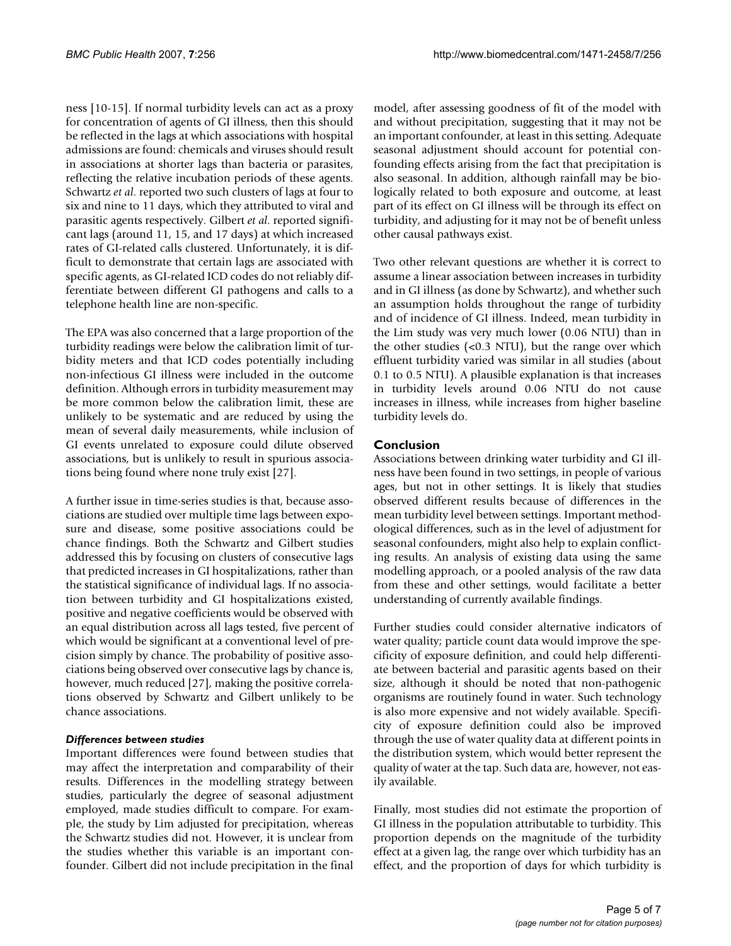ness [10-15]. If normal turbidity levels can act as a proxy for concentration of agents of GI illness, then this should be reflected in the lags at which associations with hospital admissions are found: chemicals and viruses should result in associations at shorter lags than bacteria or parasites, reflecting the relative incubation periods of these agents. Schwartz *et al*. reported two such clusters of lags at four to six and nine to 11 days, which they attributed to viral and parasitic agents respectively. Gilbert *et al*. reported significant lags (around 11, 15, and 17 days) at which increased rates of GI-related calls clustered. Unfortunately, it is difficult to demonstrate that certain lags are associated with specific agents, as GI-related ICD codes do not reliably differentiate between different GI pathogens and calls to a telephone health line are non-specific.

The EPA was also concerned that a large proportion of the turbidity readings were below the calibration limit of turbidity meters and that ICD codes potentially including non-infectious GI illness were included in the outcome definition. Although errors in turbidity measurement may be more common below the calibration limit, these are unlikely to be systematic and are reduced by using the mean of several daily measurements, while inclusion of GI events unrelated to exposure could dilute observed associations, but is unlikely to result in spurious associations being found where none truly exist [27].

A further issue in time-series studies is that, because associations are studied over multiple time lags between exposure and disease, some positive associations could be chance findings. Both the Schwartz and Gilbert studies addressed this by focusing on clusters of consecutive lags that predicted increases in GI hospitalizations, rather than the statistical significance of individual lags. If no association between turbidity and GI hospitalizations existed, positive and negative coefficients would be observed with an equal distribution across all lags tested, five percent of which would be significant at a conventional level of precision simply by chance. The probability of positive associations being observed over consecutive lags by chance is, however, much reduced [27], making the positive correlations observed by Schwartz and Gilbert unlikely to be chance associations.

# *Differences between studies*

Important differences were found between studies that may affect the interpretation and comparability of their results. Differences in the modelling strategy between studies, particularly the degree of seasonal adjustment employed, made studies difficult to compare. For example, the study by Lim adjusted for precipitation, whereas the Schwartz studies did not. However, it is unclear from the studies whether this variable is an important confounder. Gilbert did not include precipitation in the final

model, after assessing goodness of fit of the model with and without precipitation, suggesting that it may not be an important confounder, at least in this setting. Adequate seasonal adjustment should account for potential confounding effects arising from the fact that precipitation is also seasonal. In addition, although rainfall may be biologically related to both exposure and outcome, at least part of its effect on GI illness will be through its effect on turbidity, and adjusting for it may not be of benefit unless other causal pathways exist.

Two other relevant questions are whether it is correct to assume a linear association between increases in turbidity and in GI illness (as done by Schwartz), and whether such an assumption holds throughout the range of turbidity and of incidence of GI illness. Indeed, mean turbidity in the Lim study was very much lower (0.06 NTU) than in the other studies (<0.3 NTU), but the range over which effluent turbidity varied was similar in all studies (about 0.1 to 0.5 NTU). A plausible explanation is that increases in turbidity levels around 0.06 NTU do not cause increases in illness, while increases from higher baseline turbidity levels do.

# **Conclusion**

Associations between drinking water turbidity and GI illness have been found in two settings, in people of various ages, but not in other settings. It is likely that studies observed different results because of differences in the mean turbidity level between settings. Important methodological differences, such as in the level of adjustment for seasonal confounders, might also help to explain conflicting results. An analysis of existing data using the same modelling approach, or a pooled analysis of the raw data from these and other settings, would facilitate a better understanding of currently available findings.

Further studies could consider alternative indicators of water quality; particle count data would improve the specificity of exposure definition, and could help differentiate between bacterial and parasitic agents based on their size, although it should be noted that non-pathogenic organisms are routinely found in water. Such technology is also more expensive and not widely available. Specificity of exposure definition could also be improved through the use of water quality data at different points in the distribution system, which would better represent the quality of water at the tap. Such data are, however, not easily available.

Finally, most studies did not estimate the proportion of GI illness in the population attributable to turbidity. This proportion depends on the magnitude of the turbidity effect at a given lag, the range over which turbidity has an effect, and the proportion of days for which turbidity is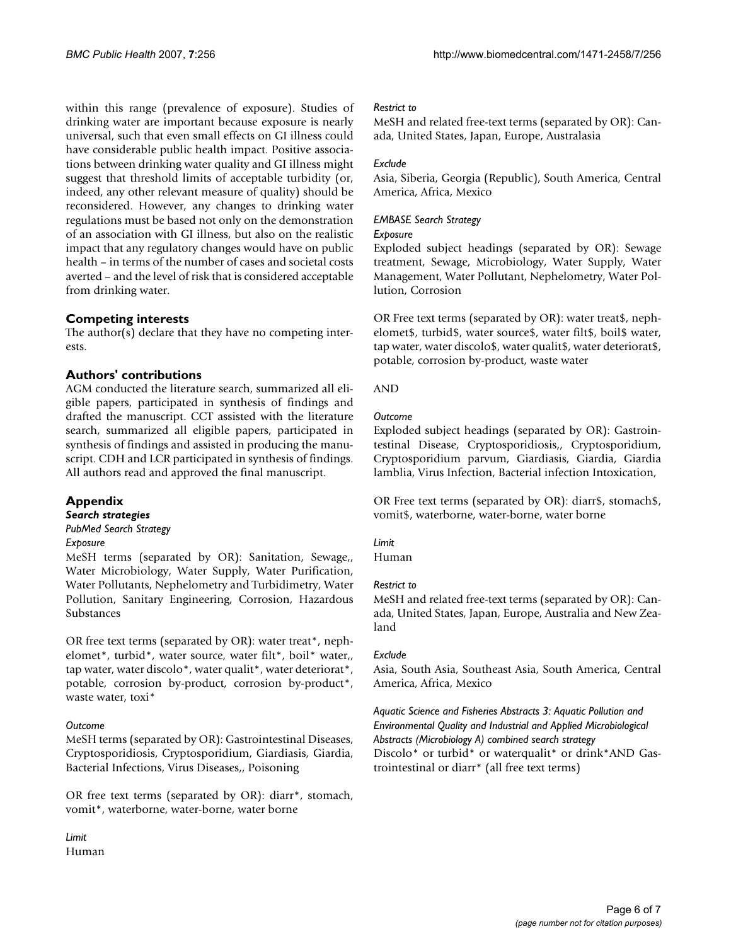within this range (prevalence of exposure). Studies of drinking water are important because exposure is nearly universal, such that even small effects on GI illness could have considerable public health impact. Positive associations between drinking water quality and GI illness might suggest that threshold limits of acceptable turbidity (or, indeed, any other relevant measure of quality) should be reconsidered. However, any changes to drinking water regulations must be based not only on the demonstration of an association with GI illness, but also on the realistic impact that any regulatory changes would have on public health – in terms of the number of cases and societal costs averted – and the level of risk that is considered acceptable from drinking water.

# **Competing interests**

The author(s) declare that they have no competing interests.

# **Authors' contributions**

AGM conducted the literature search, summarized all eligible papers, participated in synthesis of findings and drafted the manuscript. CCT assisted with the literature search, summarized all eligible papers, participated in synthesis of findings and assisted in producing the manuscript. CDH and LCR participated in synthesis of findings. All authors read and approved the final manuscript.

# **Appendix**

#### *Search strategies PubMed Search Strategy*

#### *Exposure*

MeSH terms (separated by OR): Sanitation, Sewage,, Water Microbiology, Water Supply, Water Purification, Water Pollutants, Nephelometry and Turbidimetry, Water Pollution, Sanitary Engineering, Corrosion, Hazardous Substances

OR free text terms (separated by OR): water treat\*, nephelomet\*, turbid\*, water source, water filt\*, boil\* water,, tap water, water discolo\*, water qualit\*, water deteriorat\*, potable, corrosion by-product, corrosion by-product\*, waste water, toxi\*

#### *Outcome*

MeSH terms (separated by OR): Gastrointestinal Diseases, Cryptosporidiosis, Cryptosporidium, Giardiasis, Giardia, Bacterial Infections, Virus Diseases,, Poisoning

OR free text terms (separated by OR): diarr\*, stomach, vomit\*, waterborne, water-borne, water borne

*Limit* Human

### *Restrict to*

MeSH and related free-text terms (separated by OR): Canada, United States, Japan, Europe, Australasia

# *Exclude*

Asia, Siberia, Georgia (Republic), South America, Central America, Africa, Mexico

# *EMBASE Search Strategy*

#### *Exposure*

Exploded subject headings (separated by OR): Sewage treatment, Sewage, Microbiology, Water Supply, Water Management, Water Pollutant, Nephelometry, Water Pollution, Corrosion

OR Free text terms (separated by OR): water treat\$, nephelomet\$, turbid\$, water source\$, water filt\$, boil\$ water, tap water, water discolo\$, water qualit\$, water deteriorat\$, potable, corrosion by-product, waste water

### AND

### *Outcome*

Exploded subject headings (separated by OR): Gastrointestinal Disease, Cryptosporidiosis,, Cryptosporidium, Cryptosporidium parvum, Giardiasis, Giardia, Giardia lamblia, Virus Infection, Bacterial infection Intoxication,

OR Free text terms (separated by OR): diarr\$, stomach\$, vomit\$, waterborne, water-borne, water borne

#### *Limit*

Human

#### *Restrict to*

MeSH and related free-text terms (separated by OR): Canada, United States, Japan, Europe, Australia and New Zealand

# *Exclude*

Asia, South Asia, Southeast Asia, South America, Central America, Africa, Mexico

# *Aquatic Science and Fisheries Abstracts 3: Aquatic Pollution and Environmental Quality and Industrial and Applied Microbiological Abstracts (Microbiology A) combined search strategy* Discolo\* or turbid\* or waterqualit\* or drink\*AND Gastrointestinal or diarr\* (all free text terms)